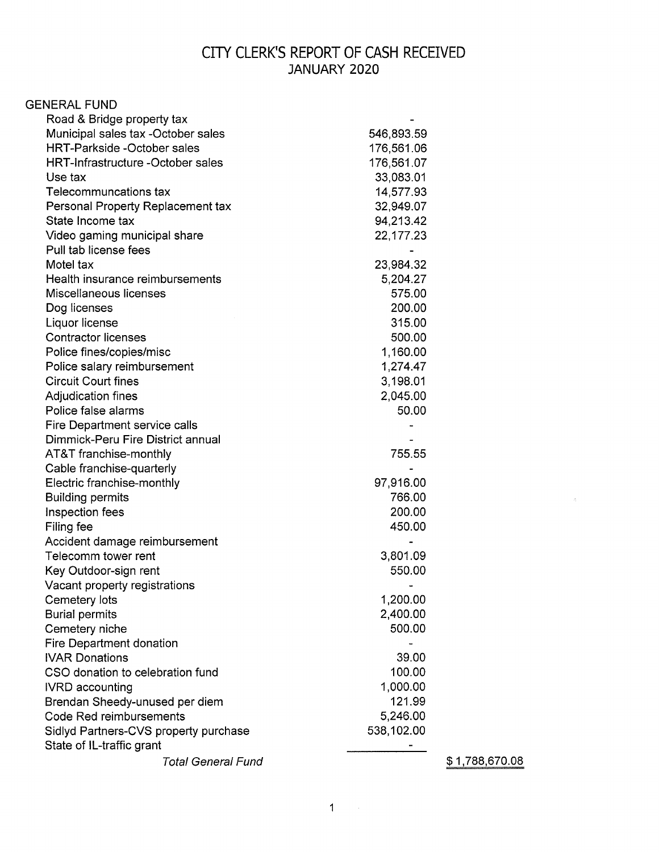## CITY CLERK'S REPORT OF CASH RECEIVED JANUARY 2020

| <b>GENERAL FUND</b>                      |            |
|------------------------------------------|------------|
| Road & Bridge property tax               |            |
| Municipal sales tax -October sales       | 546,893.59 |
| <b>HRT-Parkside -October sales</b>       | 176,561.06 |
| <b>HRT-Infrastructure -October sales</b> | 176,561.07 |
| Use tax                                  | 33,083.01  |
| Telecommuncations tax                    | 14,577.93  |
| Personal Property Replacement tax        | 32,949.07  |
| State Income tax                         | 94,213.42  |
| Video gaming municipal share             | 22,177.23  |
| Pull tab license fees                    |            |
| Motel tax                                | 23,984.32  |
| Health insurance reimbursements          | 5,204.27   |
| Miscellaneous licenses                   | 575.00     |
| Dog licenses                             | 200.00     |
| Liquor license                           | 315.00     |
| <b>Contractor licenses</b>               | 500.00     |
| Police fines/copies/misc                 | 1,160.00   |
| Police salary reimbursement              | 1,274.47   |
| <b>Circuit Court fines</b>               | 3,198.01   |
| Adjudication fines                       | 2,045.00   |
| Police false alarms                      | 50.00      |
| Fire Department service calls            |            |
| Dimmick-Peru Fire District annual        |            |
| AT&T franchise-monthly                   | 755.55     |
| Cable franchise-quarterly                |            |
| Electric franchise-monthly               | 97,916.00  |
| <b>Building permits</b>                  | 766.00     |
| Inspection fees                          | 200.00     |
| Filing fee                               | 450.00     |
| Accident damage reimbursement            |            |
| Telecomm tower rent                      | 3,801.09   |
| Key Outdoor-sign rent                    | 550.00     |
| Vacant property registrations            |            |
| Cemetery lots                            | 1,200.00   |
| <b>Burial permits</b>                    | 2,400.00   |
| Cemetery niche                           | 500.00     |
| Fire Department donation                 |            |
| <b>IVAR Donations</b>                    | 39.00      |
| CSO donation to celebration fund         | 100.00     |
| <b>IVRD</b> accounting                   | 1,000.00   |
| Brendan Sheedy-unused per diem           | 121.99     |
| Code Red reimbursements                  | 5,246.00   |
| Sidlyd Partners-CVS property purchase    | 538,102.00 |
| State of IL-traffic grant                |            |
| <b>Total General Fund</b>                |            |

\$ 1,788,670.08

 $\langle \delta_{\rm p} \rangle$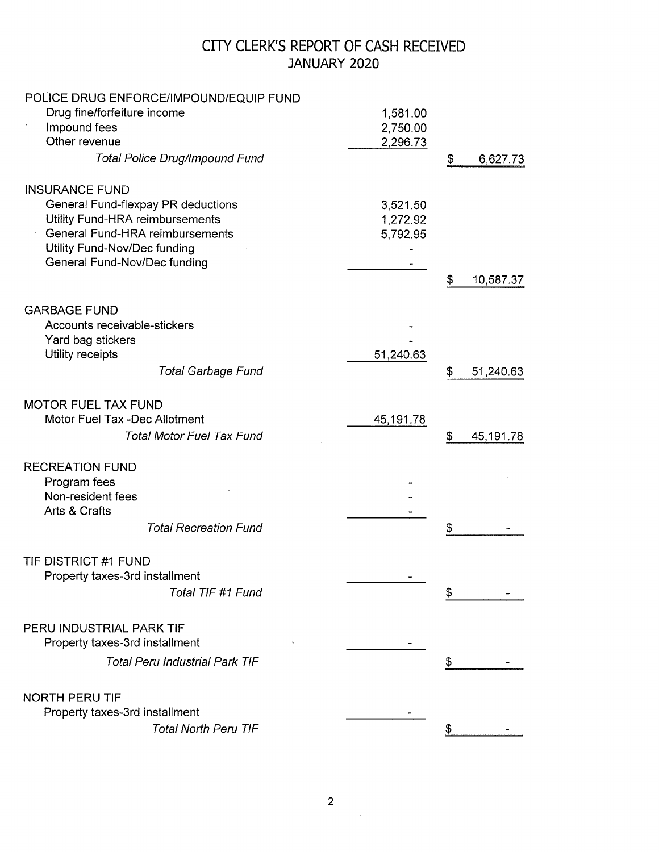## CITY CLERK'S REPORT OF CASH RECEIVED JANUARY 2020

| POLICE DRUG ENFORCE/IMPOUND/EQUIP FUND |           |                 |
|----------------------------------------|-----------|-----------------|
| Drug fine/forfeiture income            | 1,581.00  |                 |
| Impound fees                           | 2,750.00  |                 |
| Other revenue                          | 2,296.73  |                 |
| <b>Total Police Drug/Impound Fund</b>  |           | \$<br>6,627.73  |
| <b>INSURANCE FUND</b>                  |           |                 |
| General Fund-flexpay PR deductions     | 3,521.50  |                 |
| Utility Fund-HRA reimbursements        | 1,272.92  |                 |
| General Fund-HRA reimbursements        | 5,792.95  |                 |
| Utility Fund-Nov/Dec funding           |           |                 |
| General Fund-Nov/Dec funding           |           |                 |
|                                        |           | \$<br>10,587.37 |
| <b>GARBAGE FUND</b>                    |           |                 |
| Accounts receivable-stickers           |           |                 |
| Yard bag stickers                      |           |                 |
| Utility receipts                       | 51,240.63 |                 |
| <b>Total Garbage Fund</b>              |           | \$<br>51,240.63 |
| <b>MOTOR FUEL TAX FUND</b>             |           |                 |
| Motor Fuel Tax -Dec Allotment          | 45,191.78 |                 |
| <b>Total Motor Fuel Tax Fund</b>       |           | \$<br>45,191.78 |
|                                        |           |                 |
| <b>RECREATION FUND</b>                 |           |                 |
| Program fees                           |           |                 |
| Non-resident fees                      |           |                 |
| Arts & Crafts                          |           |                 |
| <b>Total Recreation Fund</b>           |           | \$              |
| TIF DISTRICT #1 FUND                   |           |                 |
| Property taxes-3rd installment         |           |                 |
| Total TIF #1 Fund                      |           |                 |
| PERU INDUSTRIAL PARK TIF               |           |                 |
|                                        |           |                 |
| Property taxes-3rd installment         |           |                 |
| <b>Total Peru Industrial Park TIF</b>  |           | \$              |
| <b>NORTH PERU TIF</b>                  |           |                 |
| Property taxes-3rd installment         |           |                 |
| <b>Total North Peru TIF</b>            |           | \$              |